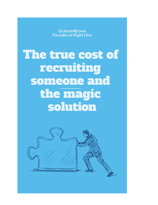**Graham-Brown Founder of Right Hire** 

The true cost of recruiting someone and the magic solution

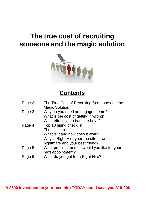# **The true cost of recruiting someone and the magic solution**



## **Contents**

| Page 2 | The True Cost of Recruiting Someone and the<br><b>Magic Solution</b> |
|--------|----------------------------------------------------------------------|
| Page 3 | Why do you need an engaged team?                                     |
|        | What is the cost of getting it wrong?                                |
|        | What effect can a bad hire have?                                     |
| Page 4 | Top 10 hiring checklist                                              |
|        | The solution                                                         |
|        | What is it and how does it work?                                     |
|        | Why is Right Hire your recruiter's worst                             |
|        | nightmare and your best friend?                                      |
| Page 5 | What profile of person would you like for your                       |
|        | next appointment?                                                    |
| Page 6 | What do you get from Right Hire?                                     |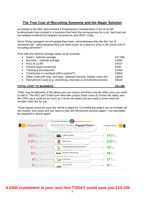### **The True Cost of Recruiting Someone and the Magic Solution**

According to the REC (Recruitment & Employment Confederation) 9 out of 10 HR professionals have worked in a business that hired the wrong person for a job: bad hires are not isolated incidents but frequent occurrences and VERY costly.

Some hiring managers recruit people they know, some because they like the "cut of someone's jib", some because they just need a bum on a seat but what is the actual cost of recruiting someone?

If we take the national average salary as an example:

| TOTAL COST TO BUSINESS:                                                             | £53.389 |
|-------------------------------------------------------------------------------------|---------|
| • Recruitment Costs (e.g. advertising, interview & recruitment process)             | £5520   |
| Other costs (HR time, sick days, software licences, holiday cover etc)<br>$\bullet$ | £8000   |
| Contribution to overhead (office space/IT)<br>$\bullet$                             | £4800   |
| • Training & Development                                                            | £1500   |
| • Pension (auto enrolment)                                                          | £828    |
| NICs at 13.8%<br>$\bullet$                                                          |         |
| Bonuses - national average<br>$\bullet$                                             |         |
| Salary - national average                                                           | £27,600 |

There may be elements of the above you can reduce and there may be other costs you need to add in. The REC and Undercover Recruiter project these costs at 3 times the salary and the CIPD say it could be as much as 5 times the salary but you need to know what the number looks like for you.

These figures assumes your hire will be in place for 12 months but what if you've invested all this money, they leave and you need to start the recruitment process again? You had better be prepared to spend again!

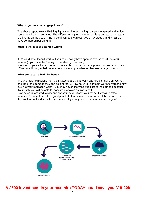#### **Why do you need an engaged team?**

The above report from KPMG highlights the different having someone engaged and in flow v someone who is disengaged. The difference helping the team achieve targets to the actual profitability on the bottom line is significant and can cost you on average 3 and a half sick days per person per annum!

#### **What is the cost of getting it wrong?**

If the candidate doesn't work out you could easily have spent in excess of £30k over 6 months (if you have the foresight to let them go that early).

Many employers will spend tens of thousands of pounds on equipment, on design, on their office but still not get their recruitment process right, whether they use an agency or not.

#### **What effect can a bad hire have?**

The two major omissions from the list above are the affect a bad hire can have on your team and the brand damage they can do externally. How much is your team worth to you and how much is your reputation worth? You may never know the true cost of the damage because it's unlikely you will be able to measure it or even be aware of it.

How much in lost productivity and opportunity will it cost your team? How will it affect morale? You might even lose good people before you are even aware of the seriousness of the problem. Will a dissatisfied customer tell you or just not use your services again?

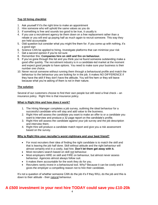#### **Top 10 hiring checklist**

- 1. Ask yourself if it's the right time to make an appointment
- 2. Hire someone who will uphold the same values as you do
- 3. If something is free and sounds too good to be true, it usually is
- 4. If you use a recruitment agency tie them down on a free replacement rather than a rebate or you will end up paying half as much again to recruit someone. This way they are held accountable
- 5. Odd question but consider what you might fire them for. If you come up with nothing, it's a good sign
- 6. Science CAN be applied to hiring. Investigate platforms that can minimise your risk
- 7. Get a second opinion if you're not sure
- 8. Remember this: **Companies hire on skill and fire on behaviour.**
- 9. If you've gone through this list and you think you've found someone outstanding make a good offer quickly. The recruitment industry is in a candidate-led market at the moment and expect good people to have options. You need to make sure your business is their number one choice.
- 10. Never recruit someone without running them through a behavioural profile and match the behaviour to the behaviour you are looking for in the job. It makes NO DIFFERENCE if they have the skill if they don't have the attitude. You will fire hem or they will leave because what you're asking of them is not in their nature.

#### **The solution**

Several of our customers choose to find their own people but still need a final check – an insurance policy. Right Hire is that insurance policy.

#### **What is Right Hire and how does it work?**

- 1. The Hiring Manager completes a job survey, outlining the ideal behaviour for a successful candidate who will stay and add value to the business.
- 2. Right Hire will assess the candidate you want to make an offer to or a candidate you want to interview and produce a 32 page report on the candidate's profile.
- 3. Right Hire will assess the candidate against your job survey and the job description and interview them.
- 4. Right Hire will produce a candidate match report and give you a risk assessment based on the survey.

#### **Why is Right Hire your recruiter's worst nightmare and your best friend?**

- For most recruiters their idea of finding the right candidate is to match the skill and that is leaving the job half done. Skill without attitude and the right behaviour will almost certainly end in a costly, bad hire. **Don't let them get away with it.**
- Most recruiters search based on skill not behaviour.
- Most employers HIRE on skill and FIRE on behaviour, but almost never assess behaviour. Agencies almost always follow suit.
- It makes them accountable for the work they do for you.
- Recruiters rarely invest in a behavioural tool. Why? Because it can be costly and it gives the employer a compelling reason not to hire their candidate.

It's not a question of whether someone CAN do the job it's if they WILL do the job and this is down to their attitude - their natural behaviour.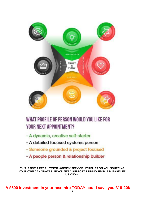

## WHAT PROFILE OF PERSON WOULD YOU LIKE FOR **YOUR NEXT APPOINTMENT?**

- A dynamic, creative self-starter
- A detailed focused systems person
- Someone grounded & project focused
- A people person & relationship builder

**THIS IS NOT A RECRUITMENT AGENCY SERVICE. IT RELIES ON YOU SOURCING YOUR OWN CANDIDATES. IF YOU NEED SUPPORT FINDING PEOPLE PLEASE LET US KNOW.**